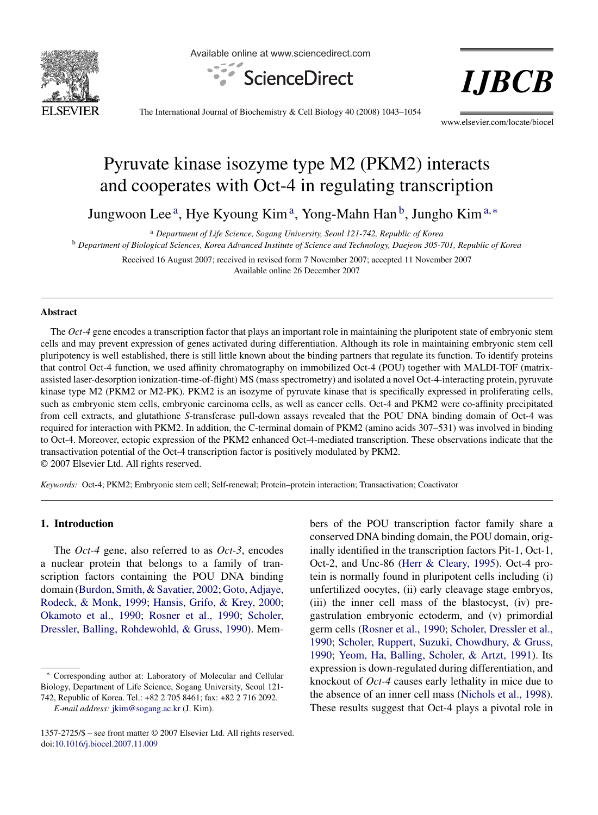

Available online at www.sciencedirect.com



**I.JBCB** 

The International Journal of Biochemistry & Cell Biology 40 (2008) 1043–1054

www.elsevier.com/locate/biocel

# Pyruvate kinase isozyme type M2 (PKM2) interacts and cooperates with Oct-4 in regulating transcription

Jungwoon Lee<sup>a</sup>, Hye Kyoung Kim<sup>a</sup>, Yong-Mahn Han<sup>b</sup>, Jungho Kim<sup>a,\*</sup>

<sup>a</sup> *Department of Life Science, Sogang University, Seoul 121-742, Republic of Korea*

<sup>b</sup> *Department of Biological Sciences, Korea Advanced Institute of Science and Technology, Daejeon 305-701, Republic of Korea*

Received 16 August 2007; received in revised form 7 November 2007; accepted 11 November 2007 Available online 26 December 2007

#### **Abstract**

The *Oct-4* gene encodes a transcription factor that plays an important role in maintaining the pluripotent state of embryonic stem cells and may prevent expression of genes activated during differentiation. Although its role in maintaining embryonic stem cell pluripotency is well established, there is still little known about the binding partners that regulate its function. To identify proteins that control Oct-4 function, we used affinity chromatography on immobilized Oct-4 (POU) together with MALDI-TOF (matrixassisted laser-desorption ionization-time-of-flight) MS (mass spectrometry) and isolated a novel Oct-4-interacting protein, pyruvate kinase type M2 (PKM2 or M2-PK). PKM2 is an isozyme of pyruvate kinase that is specifically expressed in proliferating cells, such as embryonic stem cells, embryonic carcinoma cells, as well as cancer cells. Oct-4 and PKM2 were co-affinity precipitated from cell extracts, and glutathione *S*-transferase pull-down assays revealed that the POU DNA binding domain of Oct-4 was required for interaction with PKM2. In addition, the C-terminal domain of PKM2 (amino acids 307–531) was involved in binding to Oct-4. Moreover, ectopic expression of the PKM2 enhanced Oct-4-mediated transcription. These observations indicate that the transactivation potential of the Oct-4 transcription factor is positively modulated by PKM2. © 2007 Elsevier Ltd. All rights reserved.

*Keywords:* Oct-4; PKM2; Embryonic stem cell; Self-renewal; Protein–protein interaction; Transactivation; Coactivator

## **1. Introduction**

The *Oct-4* gene, also referred to as *Oct-3*, encodes a nuclear protein that belongs to a family of transcription factors containing the POU DNA binding domain ([Burdon, Smith, & Savatier, 2002;](#page-10-0) [Goto, Adjaye,](#page-10-0) [Rodeck, & Monk, 1999;](#page-10-0) [Hansis, Grifo, & Krey, 2000;](#page-10-0) [Okamoto et al., 1990; Rosner et al., 1990;](#page-11-0) [Scholer,](#page-11-0) [Dressler, Balling, Rohdewohld, & Gruss, 1990\).](#page-11-0) Members of the POU transcription factor family share a conserved DNA binding domain, the POU domain, originally identified in the transcription factors Pit-1, Oct-1, Oct-2, and Unc-86 ([Herr & Cleary, 1995\).](#page-10-0) Oct-4 protein is normally found in pluripotent cells including (i) unfertilized oocytes, (ii) early cleavage stage embryos, (iii) the inner cell mass of the blastocyst, (iv) pregastrulation embryonic ectoderm, and (v) primordial germ cells [\(Rosner et al., 1990;](#page-11-0) [Scholer, Dressler et al.,](#page-11-0) [1990;](#page-11-0) [Scholer, Ruppert, Suzuki, Chowdhury, & Gruss,](#page-11-0) [1990;](#page-11-0) [Yeom, Ha, Balling, Scholer, & Artzt, 1991\).](#page-11-0) Its expression is down-regulated during differentiation, and knockout of *Oct-4* causes early lethality in mice due to the absence of an inner cell mass [\(Nichols et al., 1998\).](#page-10-0) These results suggest that Oct-4 plays a pivotal role in

<sup>∗</sup> Corresponding author at: Laboratory of Molecular and Cellular Biology, Department of Life Science, Sogang University, Seoul 121- 742, Republic of Korea. Tel.: +82 2 705 8461; fax: +82 2 716 2092.

*E-mail address:* [jkim@sogang.ac.kr](mailto:jkim@sogang.ac.kr) (J. Kim).

<sup>1357-2725/\$ –</sup> see front matter © 2007 Elsevier Ltd. All rights reserved. doi:[10.1016/j.biocel.2007.11.009](dx.doi.org/10.1016/j.biocel.2007.11.009)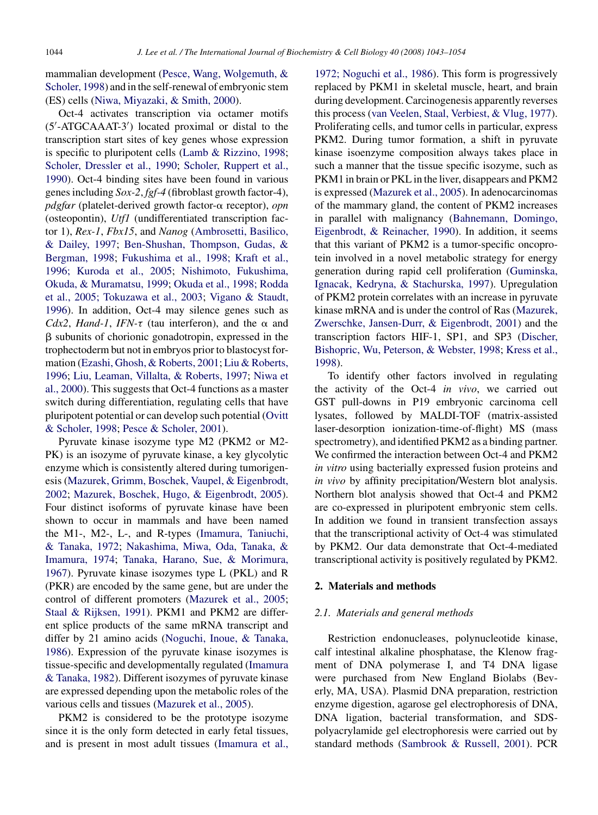<span id="page-1-0"></span>mammalian development ([Pesce, Wang, Wolgemuth, &](#page-11-0) [Scholer, 1998\)](#page-11-0) and in the self-renewal of embryonic stem (ES) cells [\(Niwa, Miyazaki, & Smith, 2000\).](#page-11-0)

Oct-4 activates transcription via octamer motifs (5 -ATGCAAAT-3 ) located proximal or distal to the transcription start sites of key genes whose expression is specific to pluripotent cells [\(Lamb & Rizzino, 1998;](#page-10-0) [Scholer, Dressler et al., 1990;](#page-11-0) [Scholer, Ruppert et al.,](#page-11-0) [1990\).](#page-11-0) Oct-4 binding sites have been found in various genes including *Sox-2*, *fgf-4* (fibroblast growth factor-4), *pdgf*α*r* (platelet-derived growth factor-α receptor), *opn* (osteopontin), *Utf1* (undifferentiated transcription factor 1), *Rex-1*, *Fbx15*, and *Nanog* [\(Ambrosetti, Basilico,](#page-9-0) [& Dailey, 1997;](#page-9-0) [Ben-Shushan, Thompson, Gudas, &](#page-9-0) [Bergman, 1998;](#page-9-0) [Fukushima et al., 1998; Kraft et al.,](#page-10-0) [1996; Kuroda et al., 2005;](#page-10-0) [Nishimoto, Fukushima,](#page-10-0) [Okuda, & Muramatsu, 1999;](#page-10-0) [Okuda et al., 1998; Rodda](#page-11-0) [et al., 2005; Tokuzawa et al., 2003;](#page-11-0) [Vigano & Staudt,](#page-11-0) [1996\).](#page-11-0) In addition, Oct-4 may silence genes such as *Cdx2*, *Hand-1*, *IFN-* $\tau$  (tau interferon), and the  $\alpha$  and  $\beta$  subunits of chorionic gonadotropin, expressed in the trophectoderm but not in embryos prior to blastocyst formation ([Ezashi, Ghosh, & Roberts, 2001;](#page-10-0) [Liu & Roberts,](#page-10-0) [1996;](#page-10-0) [Liu, Leaman, Villalta, & Roberts, 1997;](#page-10-0) [Niwa et](#page-11-0) [al., 2000\).](#page-11-0) This suggests that Oct-4 functions as a master switch during differentiation, regulating cells that have pluripotent potential or can develop such potential ([Ovitt](#page-11-0) [& Scholer, 1998;](#page-11-0) [Pesce & Scholer, 2001\).](#page-11-0)

Pyruvate kinase isozyme type M2 (PKM2 or M2- PK) is an isozyme of pyruvate kinase, a key glycolytic enzyme which is consistently altered during tumorigenesis ([Mazurek, Grimm, Boschek, Vaupel, & Eigenbrodt,](#page-10-0) [2002;](#page-10-0) [Mazurek, Boschek, Hugo, & Eigenbrodt, 2005\).](#page-10-0) Four distinct isoforms of pyruvate kinase have been shown to occur in mammals and have been named the M1-, M2-, L-, and R-types [\(Imamura, Taniuchi,](#page-10-0) [& Tanaka, 1972;](#page-10-0) [Nakashima, Miwa, Oda, Tanaka, &](#page-10-0) [Imamura, 1974;](#page-10-0) [Tanaka, Harano, Sue, & Morimura,](#page-11-0) [1967\).](#page-11-0) Pyruvate kinase isozymes type L (PKL) and R (PKR) are encoded by the same gene, but are under the control of different promoters [\(Mazurek et al., 2005;](#page-10-0) [Staal & Rijksen, 1991\).](#page-11-0) PKM1 and PKM2 are different splice products of the same mRNA transcript and differ by 21 amino acids [\(Noguchi, Inoue, & Tanaka,](#page-11-0) [1986\).](#page-11-0) Expression of the pyruvate kinase isozymes is tissue-specific and developmentally regulated [\(Imamura](#page-10-0) [& Tanaka, 1982\).](#page-10-0) Different isozymes of pyruvate kinase are expressed depending upon the metabolic roles of the various cells and tissues ([Mazurek et al., 2005\).](#page-10-0)

PKM2 is considered to be the prototype isozyme since it is the only form detected in early fetal tissues, and is present in most adult tissues [\(Imamura et al.,](#page-10-0) [1972; Noguchi et al., 1986\).](#page-10-0) This form is progressively replaced by PKM1 in skeletal muscle, heart, and brain during development. Carcinogenesis apparently reverses this process [\(van Veelen, Staal, Verbiest, & Vlug, 1977\).](#page-11-0) Proliferating cells, and tumor cells in particular, express PKM2. During tumor formation, a shift in pyruvate kinase isoenzyme composition always takes place in such a manner that the tissue specific isozyme, such as PKM1 in brain or PKL in the liver, disappears and PKM2 is expressed [\(Mazurek et al., 2005\).](#page-10-0) In adenocarcinomas of the mammary gland, the content of PKM2 increases in parallel with malignancy [\(Bahnemann, Domingo,](#page-9-0) [Eigenbrodt, & Reinacher, 1990\).](#page-9-0) In addition, it seems that this variant of PKM2 is a tumor-specific oncoprotein involved in a novel metabolic strategy for energy generation during rapid cell proliferation [\(Guminska,](#page-10-0) [Ignacak, Kedryna, & Stachurska, 1997\).](#page-10-0) Upregulation of PKM2 protein correlates with an increase in pyruvate kinase mRNA and is under the control of Ras ([Mazurek,](#page-10-0) [Zwerschke, Jansen-Durr, & Eigenbrodt, 2001\)](#page-10-0) and the transcription factors HIF-1, SP1, and SP3 [\(Discher,](#page-10-0) [Bishopric, Wu, Peterson, & Webster, 1998;](#page-10-0) [Kress et al.,](#page-10-0) [1998\).](#page-10-0)

To identify other factors involved in regulating the activity of the Oct-4 *in vivo*, we carried out GST pull-downs in P19 embryonic carcinoma cell lysates, followed by MALDI-TOF (matrix-assisted laser-desorption ionization-time-of-flight) MS (mass spectrometry), and identified PKM2 as a binding partner. We confirmed the interaction between Oct-4 and PKM2 *in vitro* using bacterially expressed fusion proteins and *in vivo* by affinity precipitation/Western blot analysis. Northern blot analysis showed that Oct-4 and PKM2 are co-expressed in pluripotent embryonic stem cells. In addition we found in transient transfection assays that the transcriptional activity of Oct-4 was stimulated by PKM2. Our data demonstrate that Oct-4-mediated transcriptional activity is positively regulated by PKM2.

## **2. Materials and methods**

## *2.1. Materials and general methods*

Restriction endonucleases, polynucleotide kinase, calf intestinal alkaline phosphatase, the Klenow fragment of DNA polymerase I, and T4 DNA ligase were purchased from New England Biolabs (Beverly, MA, USA). Plasmid DNA preparation, restriction enzyme digestion, agarose gel electrophoresis of DNA, DNA ligation, bacterial transformation, and SDSpolyacrylamide gel electrophoresis were carried out by standard methods ([Sambrook & Russell, 2001\).](#page-11-0) PCR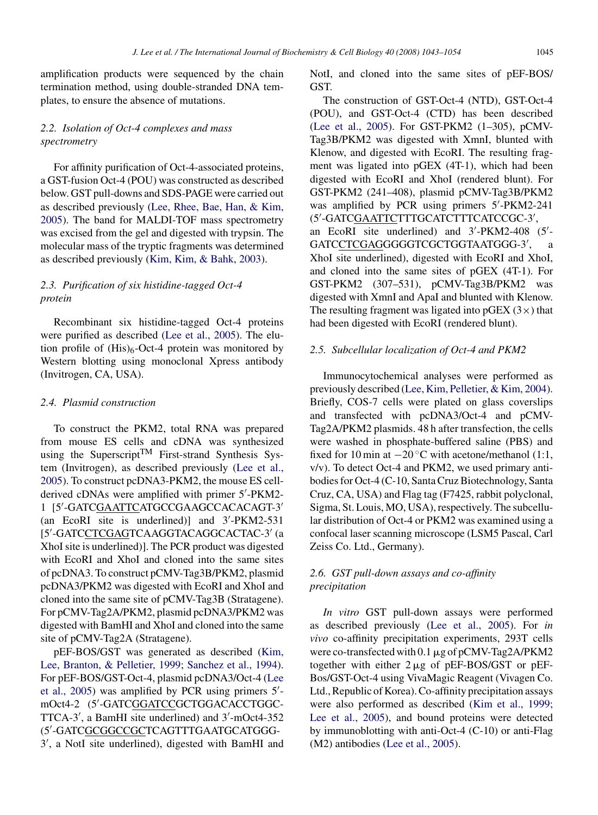amplification products were sequenced by the chain termination method, using double-stranded DNA templates, to ensure the absence of mutations.

## *2.2. Isolation of Oct-4 complexes and mass spectrometry*

For affinity purification of Oct-4-associated proteins, a GST-fusion Oct-4 (POU) was constructed as described below. GST pull-downs and SDS-PAGE were carried out as described previously ([Lee, Rhee, Bae, Han, & Kim,](#page-10-0) [2005\).](#page-10-0) The band for MALDI-TOF mass spectrometry was excised from the gel and digested with trypsin. The molecular mass of the tryptic fragments was determined as described previously [\(Kim, Kim, & Bahk, 2003\).](#page-10-0)

# *2.3. Purification of six histidine-tagged Oct-4 protein*

Recombinant six histidine-tagged Oct-4 proteins were purified as described [\(Lee et al., 2005\).](#page-10-0) The elution profile of  $(His)_6$ -Oct-4 protein was monitored by Western blotting using monoclonal Xpress antibody (Invitrogen, CA, USA).

## *2.4. Plasmid construction*

To construct the PKM2, total RNA was prepared from mouse ES cells and cDNA was synthesized using the Superscript<sup>TM</sup> First-strand Synthesis System (Invitrogen), as described previously [\(Lee et al.,](#page-10-0) [2005\).](#page-10-0) To construct pcDNA3-PKM2, the mouse ES cellderived cDNAs were amplified with primer 5 -PKM2- 1 [5'-GATC<u>GAATTC</u>ATGCCGAAGCCACACAGT-3' (an EcoRI site is underlined)] and 3 -PKM2-531 [5′-GATC<u>CTCGAG</u>TCAAGGTACAGGCACTAC-3′ (a XhoI site is underlined)]. The PCR product was digested with EcoRI and XhoI and cloned into the same sites of pcDNA3. To construct pCMV-Tag3B/PKM2, plasmid pcDNA3/PKM2 was digested with EcoRI and XhoI and cloned into the same site of pCMV-Tag3B (Stratagene). For pCMV-Tag2A/PKM2, plasmid pcDNA3/PKM2 was digested with BamHI and XhoI and cloned into the same site of pCMV-Tag2A (Stratagene).

pEF-BOS/GST was generated as described ([Kim,](#page-10-0) [Lee, Branton, & Pelletier, 1999;](#page-10-0) [Sanchez et al., 1994\).](#page-11-0) For pEF-BOS/GST-Oct-4, plasmid pcDNA3/Oct-4 [\(Lee](#page-10-0) [et al., 2005\)](#page-10-0) was amplified by PCR using primers 5 mOct4-2 (5'-GATC<u>GGATCC</u>GCTGGACACCTGGC-TTCA-3 , a BamHI site underlined) and 3 -mOct4-352 (5 -GATCGCGGCCGCTCAGTTTGAATGCATGGG-3 , a NotI site underlined), digested with BamHI and

NotI, and cloned into the same sites of pEF-BOS/ GST.

The construction of GST-Oct-4 (NTD), GST-Oct-4 (POU), and GST-Oct-4 (CTD) has been described [\(Lee et al., 2005\).](#page-10-0) For GST-PKM2 (1–305), pCMV-Tag3B/PKM2 was digested with XmnI, blunted with Klenow, and digested with EcoRI. The resulting fragment was ligated into pGEX (4T-1), which had been digested with EcoRI and XhoI (rendered blunt). For GST-PKM2 (241–408), plasmid pCMV-Tag3B/PKM2 was amplified by PCR using primers 5 -PKM2-241 (5′-GATC<u>GAATTC</u>TTTGCATCTTTCATCCGC-3′, an EcoRI site underlined) and 3 -PKM2-408 (5 - GATC<u>CTCGAG</u>GGGGTCGCTGGTAATGGG-3′, a XhoI site underlined), digested with EcoRI and XhoI, and cloned into the same sites of pGEX (4T-1). For GST-PKM2 (307–531), pCMV-Tag3B/PKM2 was digested with XmnI and ApaI and blunted with Klenow. The resulting fragment was ligated into  $pGEX$  (3 $\times$ ) that had been digested with EcoRI (rendered blunt).

#### *2.5. Subcellular localization of Oct-4 and PKM2*

Immunocytochemical analyses were performed as previously described ([Lee, Kim, Pelletier, & Kim, 2004\).](#page-10-0) Briefly, COS-7 cells were plated on glass coverslips and transfected with pcDNA3/Oct-4 and pCMV-Tag2A/PKM2 plasmids. 48 h after transfection, the cells were washed in phosphate-buffered saline (PBS) and fixed for 10 min at  $-20$  °C with acetone/methanol (1:1, v/v). To detect Oct-4 and PKM2, we used primary antibodies for Oct-4 (C-10, Santa Cruz Biotechnology, Santa Cruz, CA, USA) and Flag tag (F7425, rabbit polyclonal, Sigma, St. Louis, MO, USA), respectively. The subcellular distribution of Oct-4 or PKM2 was examined using a confocal laser scanning microscope (LSM5 Pascal, Carl Zeiss Co. Ltd., Germany).

## *2.6. GST pull-down assays and co-affinity precipitation*

*In vitro* GST pull-down assays were performed as described previously ([Lee et al., 2005\).](#page-10-0) For *in vivo* co-affinity precipitation experiments, 293T cells were co-transfected with  $0.1 \mu$ g of pCMV-Tag2A/PKM2 together with either  $2 \mu g$  of pEF-BOS/GST or pEF-Bos/GST-Oct-4 using VivaMagic Reagent (Vivagen Co. Ltd., Republic of Korea). Co-affinity precipitation assays were also performed as described [\(Kim et al., 1999;](#page-10-0) [Lee et al., 2005\),](#page-10-0) and bound proteins were detected by immunoblotting with anti-Oct-4 (C-10) or anti-Flag (M2) antibodies ([Lee et al., 2005\).](#page-10-0)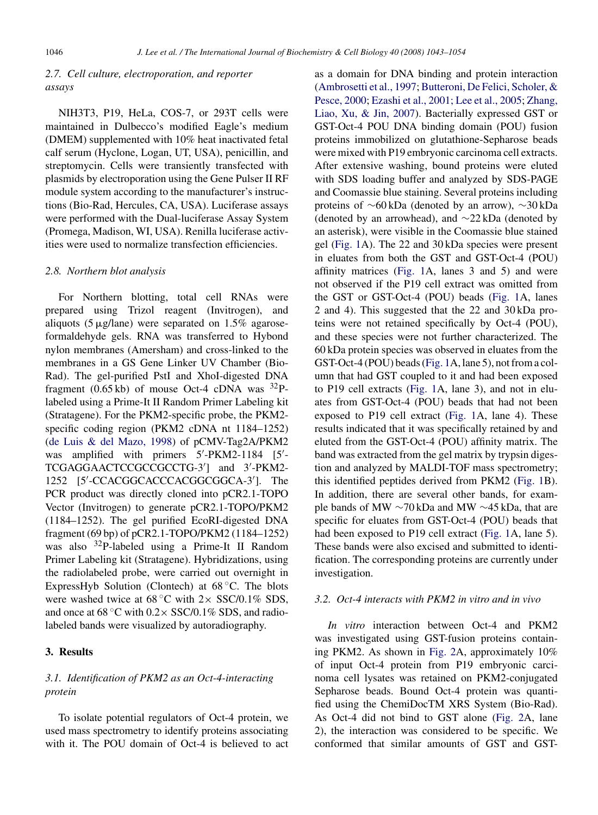## *2.7. Cell culture, electroporation, and reporter assays*

NIH3T3, P19, HeLa, COS-7, or 293T cells were maintained in Dulbecco's modified Eagle's medium (DMEM) supplemented with 10% heat inactivated fetal calf serum (Hyclone, Logan, UT, USA), penicillin, and streptomycin. Cells were transiently transfected with plasmids by electroporation using the Gene Pulser II RF module system according to the manufacturer's instructions (Bio-Rad, Hercules, CA, USA). Luciferase assays were performed with the Dual-luciferase Assay System (Promega, Madison, WI, USA). Renilla luciferase activities were used to normalize transfection efficiencies.

#### *2.8. Northern blot analysis*

For Northern blotting, total cell RNAs were prepared using Trizol reagent (Invitrogen), and aliquots (5  $\mu$ g/lane) were separated on 1.5% agaroseformaldehyde gels. RNA was transferred to Hybond nylon membranes (Amersham) and cross-linked to the membranes in a GS Gene Linker UV Chamber (Bio-Rad). The gel-purified PstI and XhoI-digested DNA fragment (0.65 kb) of mouse Oct-4 cDNA was  $^{32}P$ labeled using a Prime-It II Random Primer Labeling kit (Stratagene). For the PKM2-specific probe, the PKM2 specific coding region (PKM2 cDNA nt 1184–1252) ([de Luis & del Mazo, 1998\)](#page-10-0) of pCMV-Tag2A/PKM2 was amplified with primers 5'-PKM2-1184 [5'-TCGAGGAACTCCGCCGCCTG-3 ] and 3 -PKM2- 1252 [5 -CCACGGCACCCACGGCGGCA-3 ]. The PCR product was directly cloned into pCR2.1-TOPO Vector (Invitrogen) to generate pCR2.1-TOPO/PKM2 (1184–1252). The gel purified EcoRI-digested DNA fragment (69 bp) of pCR2.1-TOPO/PKM2 (1184–1252) was also <sup>32</sup>P-labeled using a Prime-It II Random Primer Labeling kit (Stratagene). Hybridizations, using the radiolabeled probe, were carried out overnight in ExpressHyb Solution (Clontech) at 68 ◦C. The blots were washed twice at  $68^{\circ}$ C with  $2 \times$  SSC/0.1% SDS, and once at  $68^{\circ}$ C with  $0.2 \times$  SSC/0.1% SDS, and radiolabeled bands were visualized by autoradiography.

#### **3. Results**

## *3.1. Identification of PKM2 as an Oct-4-interacting protein*

To isolate potential regulators of Oct-4 protein, we used mass spectrometry to identify proteins associating with it. The POU domain of Oct-4 is believed to act as a domain for DNA binding and protein interaction ([Ambrosetti et al., 1997;](#page-9-0) [Butteroni, De Felici, Scholer, &](#page-10-0) [Pesce, 2000;](#page-10-0) [Ezashi et al., 2001; Lee et al., 2005;](#page-10-0) [Zhang,](#page-11-0) [Liao, Xu, & Jin, 2007\).](#page-11-0) Bacterially expressed GST or GST-Oct-4 POU DNA binding domain (POU) fusion proteins immobilized on glutathione-Sepharose beads were mixed with P19 embryonic carcinoma cell extracts. After extensive washing, bound proteins were eluted with SDS loading buffer and analyzed by SDS-PAGE and Coomassie blue staining. Several proteins including proteins of ∼60 kDa (denoted by an arrow), ∼30 kDa (denoted by an arrowhead), and ∼22 kDa (denoted by an asterisk), were visible in the Coomassie blue stained gel ([Fig. 1A](#page-4-0)). The 22 and 30 kDa species were present in eluates from both the GST and GST-Oct-4 (POU) affinity matrices ([Fig. 1A](#page-4-0), lanes 3 and 5) and were not observed if the P19 cell extract was omitted from the GST or GST-Oct-4 (POU) beads ([Fig. 1A](#page-4-0), lanes 2 and 4). This suggested that the 22 and 30 kDa proteins were not retained specifically by Oct-4 (POU), and these species were not further characterized. The 60 kDa protein species was observed in eluates from the GST-Oct-4 (POU) beads [\(Fig. 1A](#page-4-0), lane 5), not from a column that had GST coupled to it and had been exposed to P19 cell extracts [\(Fig. 1A](#page-4-0), lane 3), and not in eluates from GST-Oct-4 (POU) beads that had not been exposed to P19 cell extract [\(Fig. 1A](#page-4-0), lane 4). These results indicated that it was specifically retained by and eluted from the GST-Oct-4 (POU) affinity matrix. The band was extracted from the gel matrix by trypsin digestion and analyzed by MALDI-TOF mass spectrometry; this identified peptides derived from PKM2 ([Fig. 1B](#page-4-0)). In addition, there are several other bands, for example bands of MW ∼70 kDa and MW ∼45 kDa, that are specific for eluates from GST-Oct-4 (POU) beads that had been exposed to P19 cell extract ([Fig. 1A](#page-4-0), lane 5). These bands were also excised and submitted to identification. The corresponding proteins are currently under investigation.

## *3.2. Oct-4 interacts with PKM2 in vitro and in vivo*

*In vitro* interaction between Oct-4 and PKM2 was investigated using GST-fusion proteins containing PKM2. As shown in [Fig. 2A](#page-5-0), approximately 10% of input Oct-4 protein from P19 embryonic carcinoma cell lysates was retained on PKM2-conjugated Sepharose beads. Bound Oct-4 protein was quantified using the ChemiDocTM XRS System (Bio-Rad). As Oct-4 did not bind to GST alone [\(Fig. 2A](#page-5-0), lane 2), the interaction was considered to be specific. We conformed that similar amounts of GST and GST-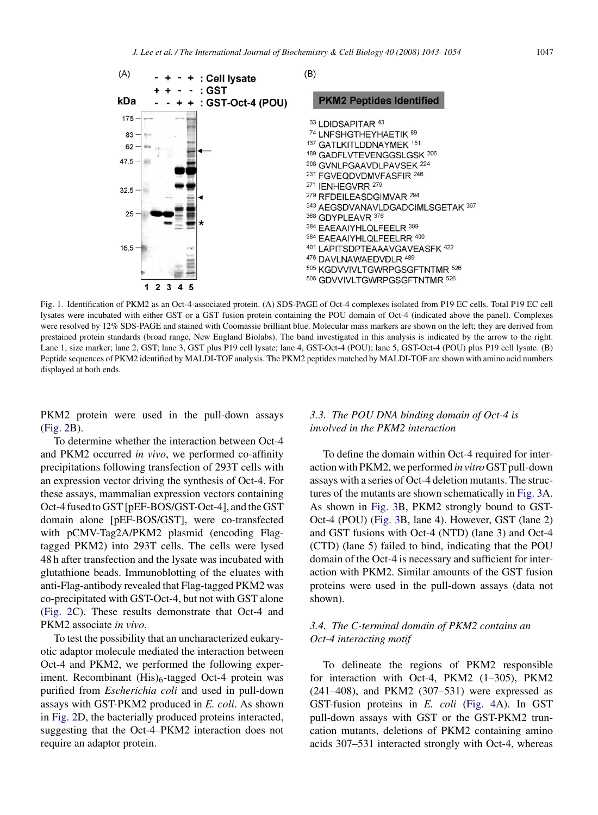<span id="page-4-0"></span>

Fig. 1. Identification of PKM2 as an Oct-4-associated protein. (A) SDS-PAGE of Oct-4 complexes isolated from P19 EC cells. Total P19 EC cell lysates were incubated with either GST or a GST fusion protein containing the POU domain of Oct-4 (indicated above the panel). Complexes were resolved by 12% SDS-PAGE and stained with Coomassie brilliant blue. Molecular mass markers are shown on the left; they are derived from prestained protein standards (broad range, New England Biolabs). The band investigated in this analysis is indicated by the arrow to the right. Lane 1, size marker; lane 2, GST; lane 3, GST plus P19 cell lysate; lane 4, GST-Oct-4 (POU); lane 5, GST-Oct-4 (POU) plus P19 cell lysate. (B) Peptide sequences of PKM2 identified by MALDI-TOF analysis. The PKM2 peptides matched by MALDI-TOF are shown with amino acid numbers displayed at both ends.

PKM2 protein were used in the pull-down assays [\(Fig. 2B](#page-5-0)).

To determine whether the interaction between Oct-4 and PKM2 occurred *in vivo*, we performed co-affinity precipitations following transfection of 293T cells with an expression vector driving the synthesis of Oct-4. For these assays, mammalian expression vectors containing Oct-4 fused to GST [pEF-BOS/GST-Oct-4], and the GST domain alone [pEF-BOS/GST], were co-transfected with pCMV-Tag2A/PKM2 plasmid (encoding Flagtagged PKM2) into 293T cells. The cells were lysed 48 h after transfection and the lysate was incubated with glutathione beads. Immunoblotting of the eluates with anti-Flag-antibody revealed that Flag-tagged PKM2 was co-precipitated with GST-Oct-4, but not with GST alone [\(Fig. 2C](#page-5-0)). These results demonstrate that Oct-4 and PKM2 associate *in vivo*.

To test the possibility that an uncharacterized eukaryotic adaptor molecule mediated the interaction between Oct-4 and PKM2, we performed the following experiment. Recombinant (His)<sub>6</sub>-tagged Oct-4 protein was purified from *Escherichia coli* and used in pull-down assays with GST-PKM2 produced in *E. coli*. As shown in [Fig. 2D](#page-5-0), the bacterially produced proteins interacted, suggesting that the Oct-4–PKM2 interaction does not require an adaptor protein.

## *3.3. The POU DNA binding domain of Oct-4 is involved in the PKM2 interaction*

To define the domain within Oct-4 required for interaction with PKM2, we performed *in vitro*GST pull-down assays with a series of Oct-4 deletion mutants. The structures of the mutants are shown schematically in [Fig. 3A](#page-6-0). As shown in [Fig. 3B](#page-6-0), PKM2 strongly bound to GST-Oct-4 (POU) [\(Fig. 3B](#page-6-0), lane 4). However, GST (lane 2) and GST fusions with Oct-4 (NTD) (lane 3) and Oct-4 (CTD) (lane 5) failed to bind, indicating that the POU domain of the Oct-4 is necessary and sufficient for interaction with PKM2. Similar amounts of the GST fusion proteins were used in the pull-down assays (data not shown).

# *3.4. The C-terminal domain of PKM2 contains an Oct-4 interacting motif*

To delineate the regions of PKM2 responsible for interaction with Oct-4, PKM2 (1–305), PKM2 (241–408), and PKM2 (307–531) were expressed as GST-fusion proteins in *E. coli* ([Fig. 4A](#page-6-0)). In GST pull-down assays with GST or the GST-PKM2 truncation mutants, deletions of PKM2 containing amino acids 307–531 interacted strongly with Oct-4, whereas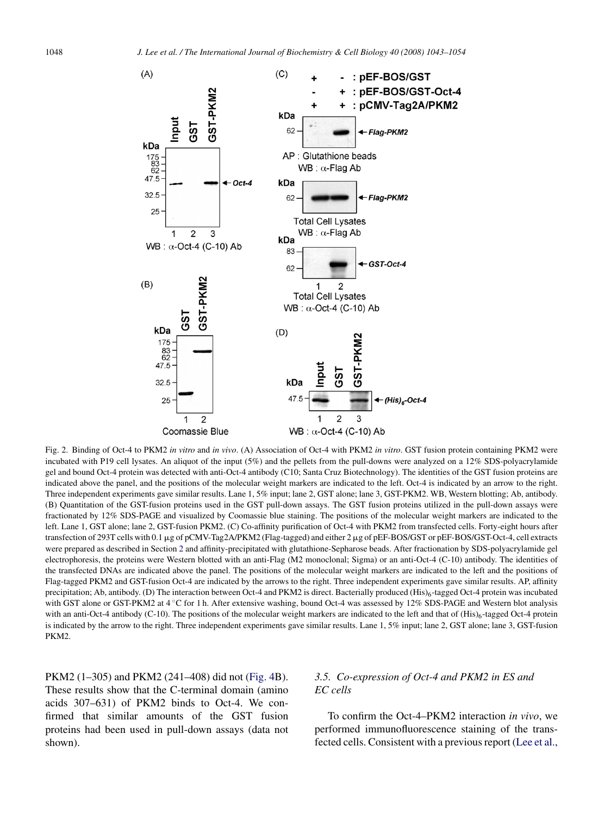<span id="page-5-0"></span>

Fig. 2. Binding of Oct-4 to PKM2 *in vitro* and *in vivo*. (A) Association of Oct-4 with PKM2 *in vitro*. GST fusion protein containing PKM2 were incubated with P19 cell lysates. An aliquot of the input (5%) and the pellets from the pull-downs were analyzed on a 12% SDS-polyacrylamide gel and bound Oct-4 protein was detected with anti-Oct-4 antibody (C10; Santa Cruz Biotechnology). The identities of the GST fusion proteins are indicated above the panel, and the positions of the molecular weight markers are indicated to the left. Oct-4 is indicated by an arrow to the right. Three independent experiments gave similar results. Lane 1, 5% input; lane 2, GST alone; lane 3, GST-PKM2. WB, Western blotting; Ab, antibody. (B) Quantitation of the GST-fusion proteins used in the GST pull-down assays. The GST fusion proteins utilized in the pull-down assays were fractionated by 12% SDS-PAGE and visualized by Coomassie blue staining. The positions of the molecular weight markers are indicated to the left. Lane 1, GST alone; lane 2, GST-fusion PKM2. (C) Co-affinity purification of Oct-4 with PKM2 from transfected cells. Forty-eight hours after transfection of 293T cells with 0.1 µg of pCMV-Tag2A/PKM2 (Flag-tagged) and either 2 µg of pEF-BOS/GST or pEF-BOS/GST-Oct-4, cell extracts were prepared as described in Section [2](#page-1-0) and affinity-precipitated with glutathione-Sepharose beads. After fractionation by SDS-polyacrylamide gel electrophoresis, the proteins were Western blotted with an anti-Flag (M2 monoclonal; Sigma) or an anti-Oct-4 (C-10) antibody. The identities of the transfected DNAs are indicated above the panel. The positions of the molecular weight markers are indicated to the left and the positions of Flag-tagged PKM2 and GST-fusion Oct-4 are indicated by the arrows to the right. Three independent experiments gave similar results. AP, affinity precipitation; Ab, antibody. (D) The interaction between Oct-4 and PKM2 is direct. Bacterially produced (His)<sub>6</sub>-tagged Oct-4 protein was incubated with GST alone or GST-PKM2 at 4 ℃ for 1 h. After extensive washing, bound Oct-4 was assessed by 12% SDS-PAGE and Western blot analysis with an anti-Oct-4 antibody (C-10). The positions of the molecular weight markers are indicated to the left and that of (His)<sub>6</sub>-tagged Oct-4 protein is indicated by the arrow to the right. Three independent experiments gave similar results. Lane 1, 5% input; lane 2, GST alone; lane 3, GST-fusion PKM2.

PKM2 (1–305) and PKM2 (241–408) did not ([Fig. 4B](#page-6-0)). These results show that the C-terminal domain (amino acids 307–631) of PKM2 binds to Oct-4. We confirmed that similar amounts of the GST fusion proteins had been used in pull-down assays (data not shown).

# *3.5. Co-expression of Oct-4 and PKM2 in ES and EC cells*

To confirm the Oct-4–PKM2 interaction *in vivo*, we performed immunofluorescence staining of the transfected cells. Consistent with a previous report ([Lee et al.,](#page-10-0)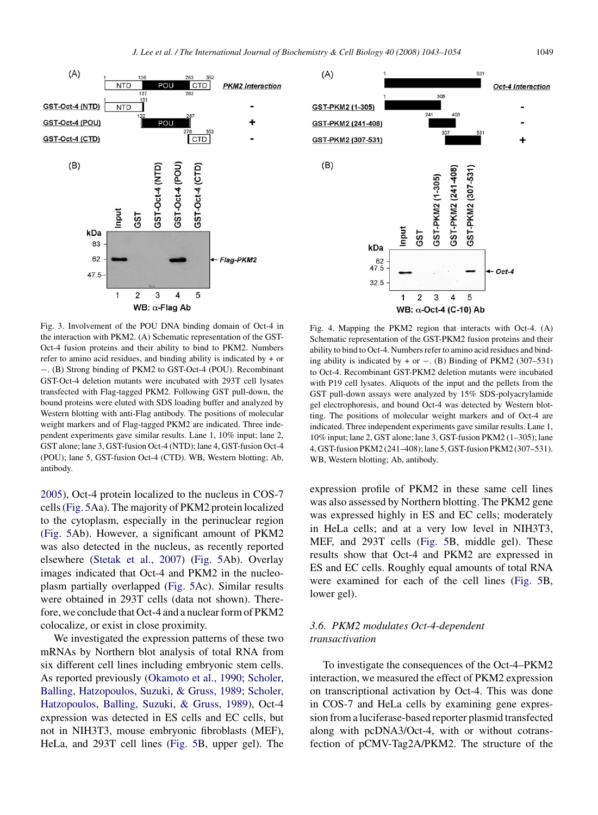<span id="page-6-0"></span>

Fig. 3. Involvement of the POU DNA binding domain of Oct-4 in the interaction with PKM2. (A) Schematic representation of the GST-Oct-4 fusion proteins and their ability to bind to PKM2. Numbers refer to amino acid residues, and binding ability is indicated by + or −. (B) Strong binding of PKM2 to GST-Oct-4 (POU). Recombinant GST-Oct-4 deletion mutants were incubated with 293T cell lysates transfected with Flag-tagged PKM2. Following GST pull-down, the bound proteins were eluted with SDS loading buffer and analyzed by Western blotting with anti-Flag antibody. The positions of molecular weight markers and of Flag-tagged PKM2 are indicated. Three independent experiments gave similar results. Lane 1, 10% input; lane 2, GST alone; lane 3, GST-fusion Oct-4 (NTD); lane 4, GST-fusion Oct-4 (POU); lane 5, GST-fusion Oct-4 (CTD). WB, Western blotting; Ab, antibody.

[2005\),](#page-10-0) Oct-4 protein localized to the nucleus in COS-7 cells [\(Fig. 5A](#page-7-0)a). The majority of PKM2 protein localized to the cytoplasm, especially in the perinuclear region [\(Fig. 5A](#page-7-0)b). However, a significant amount of PKM2 was also detected in the nucleus, as recently reported elsewhere [\(Stetak et al., 2007\)](#page-11-0) ([Fig. 5A](#page-7-0)b). Overlay images indicated that Oct-4 and PKM2 in the nucleoplasm partially overlapped ([Fig. 5A](#page-7-0)c). Similar results were obtained in 293T cells (data not shown). Therefore, we conclude that Oct-4 and a nuclear form of PKM2 colocalize, or exist in close proximity.

We investigated the expression patterns of these two mRNAs by Northern blot analysis of total RNA from six different cell lines including embryonic stem cells. As reported previously ([Okamoto et al., 1990;](#page-11-0) [Scholer,](#page-11-0) [Balling, Hatzopoulos, Suzuki, & Gruss, 1989;](#page-11-0) [Scholer,](#page-11-0) [Hatzopoulos, Balling, Suzuki, & Gruss, 1989\),](#page-11-0) Oct-4 expression was detected in ES cells and EC cells, but not in NIH3T3, mouse embryonic fibroblasts (MEF), HeLa, and 293T cell lines ([Fig. 5B](#page-7-0), upper gel). The



Fig. 4. Mapping the PKM2 region that interacts with Oct-4. (A) Schematic representation of the GST-PKM2 fusion proteins and their ability to bind to Oct-4. Numbers refer to amino acid residues and binding ability is indicated by + or  $-$ . (B) Binding of PKM2 (307–531) to Oct-4. Recombinant GST-PKM2 deletion mutants were incubated with P19 cell lysates. Aliquots of the input and the pellets from the GST pull-down assays were analyzed by 15% SDS-polyacrylamide gel electrophoresis, and bound Oct-4 was detected by Western blotting. The positions of molecular weight markers and of Oct-4 are indicated. Three independent experiments gave similar results. Lane 1, 10% input; lane 2, GST alone; lane 3, GST-fusion PKM2 (1–305); lane 4, GST-fusion PKM2 (241–408); lane 5, GST-fusion PKM2 (307–531). WB, Western blotting; Ab, antibody.

expression profile of PKM2 in these same cell lines was also assessed by Northern blotting. The PKM2 gene was expressed highly in ES and EC cells; moderately in HeLa cells; and at a very low level in NIH3T3, MEF, and 293T cells ([Fig. 5B](#page-7-0), middle gel). These results show that Oct-4 and PKM2 are expressed in ES and EC cells. Roughly equal amounts of total RNA were examined for each of the cell lines [\(Fig. 5B](#page-7-0), lower gel).

# *3.6. PKM2 modulates Oct-4-dependent transactivation*

To investigate the consequences of the Oct-4–PKM2 interaction, we measured the effect of PKM2 expression on transcriptional activation by Oct-4. This was done in COS-7 and HeLa cells by examining gene expression from a luciferase-based reporter plasmid transfected along with pcDNA3/Oct-4, with or without cotransfection of pCMV-Tag2A/PKM2. The structure of the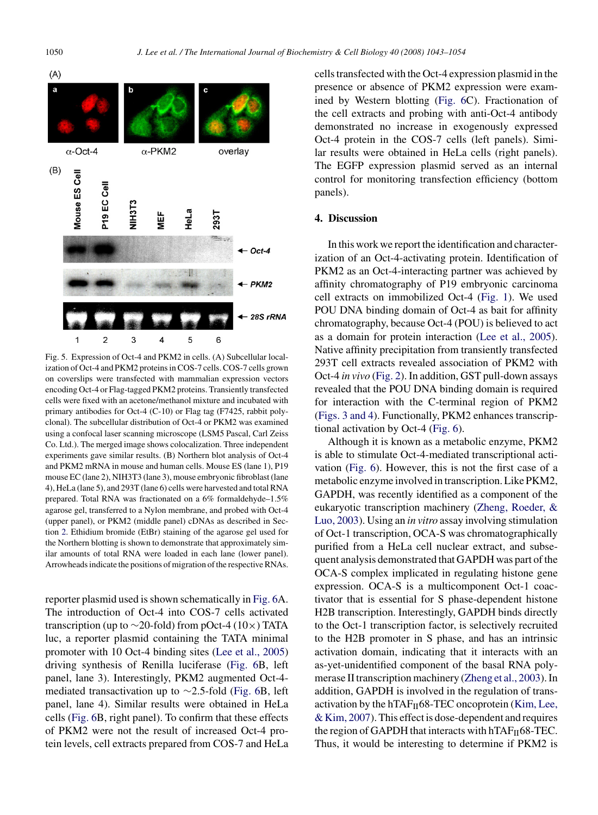<span id="page-7-0"></span>



Fig. 5. Expression of Oct-4 and PKM2 in cells. (A) Subcellular localization of Oct-4 and PKM2 proteins in COS-7 cells. COS-7 cells grown on coverslips were transfected with mammalian expression vectors encoding Oct-4 or Flag-tagged PKM2 proteins. Transiently transfected cells were fixed with an acetone/methanol mixture and incubated with primary antibodies for Oct-4 (C-10) or Flag tag (F7425, rabbit polyclonal). The subcellular distribution of Oct-4 or PKM2 was examined using a confocal laser scanning microscope (LSM5 Pascal, Carl Zeiss Co. Ltd.). The merged image shows colocalization. Three independent experiments gave similar results. (B) Northern blot analysis of Oct-4 and PKM2 mRNA in mouse and human cells. Mouse ES (lane 1), P19 mouse EC (lane 2), NIH3T3 (lane 3), mouse embryonic fibroblast (lane 4), HeLa (lane 5), and 293T (lane 6) cells were harvested and total RNA prepared. Total RNA was fractionated on a 6% formaldehyde–1.5% agarose gel, transferred to a Nylon membrane, and probed with Oct-4 (upper panel), or PKM2 (middle panel) cDNAs as described in Section [2. E](#page-1-0)thidium bromide (EtBr) staining of the agarose gel used for the Northern blotting is shown to demonstrate that approximately similar amounts of total RNA were loaded in each lane (lower panel). Arrowheads indicate the positions of migration of the respective RNAs.

reporter plasmid used is shown schematically in [Fig. 6A](#page-8-0). The introduction of Oct-4 into COS-7 cells activated transcription (up to  $\sim$ 20-fold) from pOct-4 (10×) TATA luc, a reporter plasmid containing the TATA minimal promoter with 10 Oct-4 binding sites [\(Lee et al., 2005\)](#page-10-0) driving synthesis of Renilla luciferase ([Fig. 6B](#page-8-0), left panel, lane 3). Interestingly, PKM2 augmented Oct-4 mediated transactivation up to ∼2.5-fold ([Fig. 6B](#page-8-0), left panel, lane 4). Similar results were obtained in HeLa cells [\(Fig. 6B](#page-8-0), right panel). To confirm that these effects of PKM2 were not the result of increased Oct-4 protein levels, cell extracts prepared from COS-7 and HeLa cells transfected with the Oct-4 expression plasmid in the presence or absence of PKM2 expression were examined by Western blotting ([Fig. 6C](#page-8-0)). Fractionation of the cell extracts and probing with anti-Oct-4 antibody demonstrated no increase in exogenously expressed Oct-4 protein in the COS-7 cells (left panels). Similar results were obtained in HeLa cells (right panels). The EGFP expression plasmid served as an internal control for monitoring transfection efficiency (bottom panels).

## **4. Discussion**

In this work we report the identification and characterization of an Oct-4-activating protein. Identification of PKM2 as an Oct-4-interacting partner was achieved by affinity chromatography of P19 embryonic carcinoma cell extracts on immobilized Oct-4 ([Fig. 1\).](#page-4-0) We used POU DNA binding domain of Oct-4 as bait for affinity chromatography, because Oct-4 (POU) is believed to act as a domain for protein interaction ([Lee et al., 2005\).](#page-10-0) Native affinity precipitation from transiently transfected 293T cell extracts revealed association of PKM2 with Oct-4 *in vivo* ([Fig. 2\).](#page-5-0) In addition, GST pull-down assays revealed that the POU DNA binding domain is required for interaction with the C-terminal region of PKM2 ([Figs. 3 and 4\).](#page-6-0) Functionally, PKM2 enhances transcriptional activation by Oct-4 ([Fig. 6\).](#page-8-0)

Although it is known as a metabolic enzyme, PKM2 is able to stimulate Oct-4-mediated transcriptional activation ([Fig. 6\).](#page-8-0) However, this is not the first case of a metabolic enzyme involved in transcription. Like PKM2, GAPDH, was recently identified as a component of the eukaryotic transcription machinery [\(Zheng, Roeder, &](#page-11-0) [Luo, 2003\).](#page-11-0) Using an *in vitro* assay involving stimulation of Oct-1 transcription, OCA-S was chromatographically purified from a HeLa cell nuclear extract, and subsequent analysis demonstrated that GAPDH was part of the OCA-S complex implicated in regulating histone gene expression. OCA-S is a multicomponent Oct-1 coactivator that is essential for S phase-dependent histone H2B transcription. Interestingly, GAPDH binds directly to the Oct-1 transcription factor, is selectively recruited to the H2B promoter in S phase, and has an intrinsic activation domain, indicating that it interacts with an as-yet-unidentified component of the basal RNA polymerase II transcription machinery ([Zheng et al., 2003\).](#page-11-0) In addition, GAPDH is involved in the regulation of transactivation by the hTAF $_H$ 68-TEC oncoprotein [\(Kim, Lee,](#page-10-0) [& Kim, 2007\).](#page-10-0) This effect is dose-dependent and requires the region of GAPDH that interacts with  $hTAF_{II}68-TEC$ . Thus, it would be interesting to determine if PKM2 is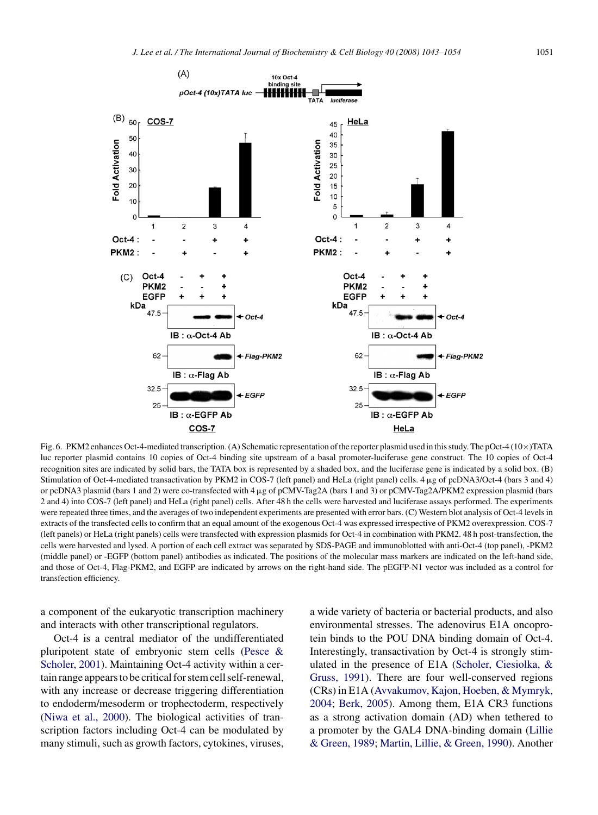<span id="page-8-0"></span>

Fig. 6. PKM2 enhances Oct-4-mediated transcription. (A) Schematic representation of the reporter plasmid used in this study. The pOct-4 (10×)TATA luc reporter plasmid contains 10 copies of Oct-4 binding site upstream of a basal promoter-luciferase gene construct. The 10 copies of Oct-4 recognition sites are indicated by solid bars, the TATA box is represented by a shaded box, and the luciferase gene is indicated by a solid box. (B) Stimulation of Oct-4-mediated transactivation by PKM2 in COS-7 (left panel) and HeLa (right panel) cells. 4 µg of pcDNA3/Oct-4 (bars 3 and 4) or pcDNA3 plasmid (bars 1 and 2) were co-transfected with 4 µg of pCMV-Tag2A (bars 1 and 3) or pCMV-Tag2A/PKM2 expression plasmid (bars 2 and 4) into COS-7 (left panel) and HeLa (right panel) cells. After 48 h the cells were harvested and luciferase assays performed. The experiments were repeated three times, and the averages of two independent experiments are presented with error bars. (C) Western blot analysis of Oct-4 levels in extracts of the transfected cells to confirm that an equal amount of the exogenous Oct-4 was expressed irrespective of PKM2 overexpression. COS-7 (left panels) or HeLa (right panels) cells were transfected with expression plasmids for Oct-4 in combination with PKM2. 48 h post-transfection, the cells were harvested and lysed. A portion of each cell extract was separated by SDS-PAGE and immunoblotted with anti-Oct-4 (top panel), -PKM2 (middle panel) or -EGFP (bottom panel) antibodies as indicated. The positions of the molecular mass markers are indicated on the left-hand side, and those of Oct-4, Flag-PKM2, and EGFP are indicated by arrows on the right-hand side. The pEGFP-N1 vector was included as a control for transfection efficiency.

a component of the eukaryotic transcription machinery and interacts with other transcriptional regulators.

Oct-4 is a central mediator of the undifferentiated pluripotent state of embryonic stem cells [\(Pesce &](#page-11-0) [Scholer, 2001\).](#page-11-0) Maintaining Oct-4 activity within a certain range appears to be critical for stem cell self-renewal, with any increase or decrease triggering differentiation to endoderm/mesoderm or trophectoderm, respectively [\(Niwa et al., 2000\).](#page-11-0) The biological activities of transcription factors including Oct-4 can be modulated by many stimuli, such as growth factors, cytokines, viruses, a wide variety of bacteria or bacterial products, and also environmental stresses. The adenovirus E1A oncoprotein binds to the POU DNA binding domain of Oct-4. Interestingly, transactivation by Oct-4 is strongly stimulated in the presence of E1A ([Scholer, Ciesiolka, &](#page-11-0) [Gruss, 1991\).](#page-11-0) There are four well-conserved regions (CRs) in E1A ([Avvakumov, Kajon, Hoeben, & Mymryk,](#page-9-0) [2004;](#page-9-0) [Berk, 2005\).](#page-9-0) Among them, E1A CR3 functions as a strong activation domain (AD) when tethered to a promoter by the GAL4 DNA-binding domain ([Lillie](#page-10-0) [& Green, 1989;](#page-10-0) [Martin, Lillie, & Green, 1990\).](#page-10-0) Another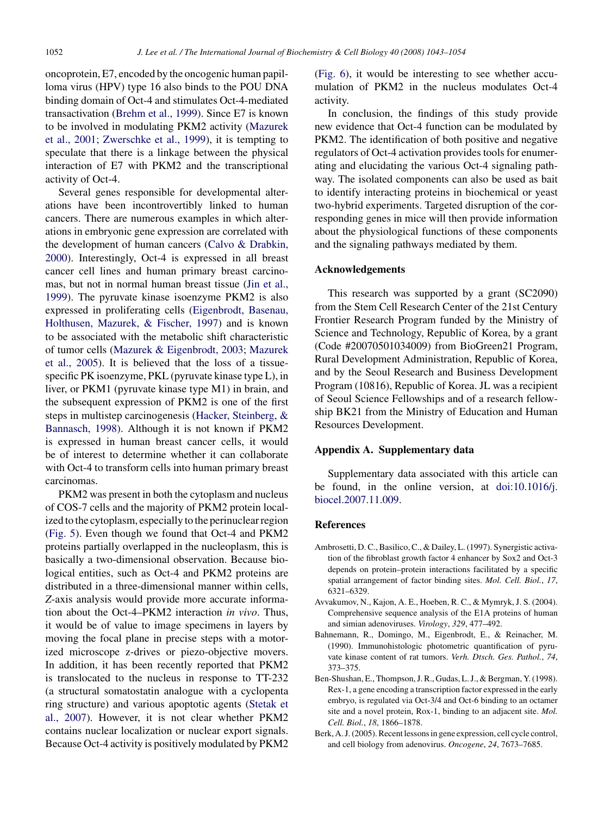<span id="page-9-0"></span>oncoprotein, E7, encoded by the oncogenic human papilloma virus (HPV) type 16 also binds to the POU DNA binding domain of Oct-4 and stimulates Oct-4-mediated transactivation [\(Brehm et al., 1999\).](#page-10-0) Since E7 is known to be involved in modulating PKM2 activity [\(Mazurek](#page-10-0) [et al., 2001; Zwerschke et al., 1999\),](#page-10-0) it is tempting to speculate that there is a linkage between the physical interaction of E7 with PKM2 and the transcriptional activity of Oct-4.

Several genes responsible for developmental alterations have been incontrovertibly linked to human cancers. There are numerous examples in which alterations in embryonic gene expression are correlated with the development of human cancers [\(Calvo & Drabkin,](#page-10-0) [2000\).](#page-10-0) Interestingly, Oct-4 is expressed in all breast cancer cell lines and human primary breast carcinomas, but not in normal human breast tissue ([Jin et al.,](#page-10-0) [1999\).](#page-10-0) The pyruvate kinase isoenzyme PKM2 is also expressed in proliferating cells [\(Eigenbrodt, Basenau,](#page-10-0) [Holthusen, Mazurek, & Fischer, 1997\)](#page-10-0) and is known to be associated with the metabolic shift characteristic of tumor cells [\(Mazurek & Eigenbrodt, 2003;](#page-10-0) [Mazurek](#page-10-0) [et al., 2005\).](#page-10-0) It is believed that the loss of a tissuespecific PK isoenzyme, PKL (pyruvate kinase type L), in liver, or PKM1 (pyruvate kinase type M1) in brain, and the subsequent expression of PKM2 is one of the first steps in multistep carcinogenesis [\(Hacker, Steinberg, &](#page-10-0) [Bannasch, 1998\).](#page-10-0) Although it is not known if PKM2 is expressed in human breast cancer cells, it would be of interest to determine whether it can collaborate with Oct-4 to transform cells into human primary breast carcinomas.

PKM2 was present in both the cytoplasm and nucleus of COS-7 cells and the majority of PKM2 protein localized to the cytoplasm, especially to the perinuclear region ([Fig. 5\).](#page-7-0) Even though we found that Oct-4 and PKM2 proteins partially overlapped in the nucleoplasm, this is basically a two-dimensional observation. Because biological entities, such as Oct-4 and PKM2 proteins are distributed in a three-dimensional manner within cells, *Z*-axis analysis would provide more accurate information about the Oct-4–PKM2 interaction *in vivo*. Thus, it would be of value to image specimens in layers by moving the focal plane in precise steps with a motorized microscope z-drives or piezo-objective movers. In addition, it has been recently reported that PKM2 is translocated to the nucleus in response to TT-232 (a structural somatostatin analogue with a cyclopenta ring structure) and various apoptotic agents ([Stetak et](#page-11-0) [al., 2007\).](#page-11-0) However, it is not clear whether PKM2 contains nuclear localization or nuclear export signals. Because Oct-4 activity is positively modulated by PKM2

([Fig. 6\),](#page-8-0) it would be interesting to see whether accumulation of PKM2 in the nucleus modulates Oct-4 activity.

In conclusion, the findings of this study provide new evidence that Oct-4 function can be modulated by PKM2. The identification of both positive and negative regulators of Oct-4 activation provides tools for enumerating and elucidating the various Oct-4 signaling pathway. The isolated components can also be used as bait to identify interacting proteins in biochemical or yeast two-hybrid experiments. Targeted disruption of the corresponding genes in mice will then provide information about the physiological functions of these components and the signaling pathways mediated by them.

## **Acknowledgements**

This research was supported by a grant (SC2090) from the Stem Cell Research Center of the 21st Century Frontier Research Program funded by the Ministry of Science and Technology, Republic of Korea, by a grant (Code #20070501034009) from BioGreen21 Program, Rural Development Administration, Republic of Korea, and by the Seoul Research and Business Development Program (10816), Republic of Korea. JL was a recipient of Seoul Science Fellowships and of a research fellowship BK21 from the Ministry of Education and Human Resources Development.

#### **Appendix A. Supplementary data**

Supplementary data associated with this article can be found, in the online version, at [doi:10.1016/j.](http://dx.doi.org/10.1016/j.biocel.2007.11.009) biocel.2007.11.009.

## **References**

- Ambrosetti, D. C., Basilico, C., & Dailey, L. (1997). Synergistic activation of the fibroblast growth factor 4 enhancer by Sox2 and Oct-3 depends on protein–protein interactions facilitated by a specific spatial arrangement of factor binding sites. *Mol. Cell. Biol.*, *17*, 6321–6329.
- Avvakumov, N., Kajon, A. E., Hoeben, R. C., & Mymryk, J. S. (2004). Comprehensive sequence analysis of the E1A proteins of human and simian adenoviruses. *Virology*, *329*, 477–492.
- Bahnemann, R., Domingo, M., Eigenbrodt, E., & Reinacher, M. (1990). Immunohistologic photometric quantification of pyruvate kinase content of rat tumors. *Verh. Dtsch. Ges. Pathol.*, *74*, 373–375.
- Ben-Shushan, E., Thompson, J. R., Gudas, L. J., & Bergman, Y. (1998). Rex-1, a gene encoding a transcription factor expressed in the early embryo, is regulated via Oct-3/4 and Oct-6 binding to an octamer site and a novel protein, Rox-1, binding to an adjacent site. *Mol. Cell. Biol.*, *18*, 1866–1878.
- Berk, A. J. (2005). Recent lessons in gene expression, cell cycle control, and cell biology from adenovirus. *Oncogene*, *24*, 7673–7685.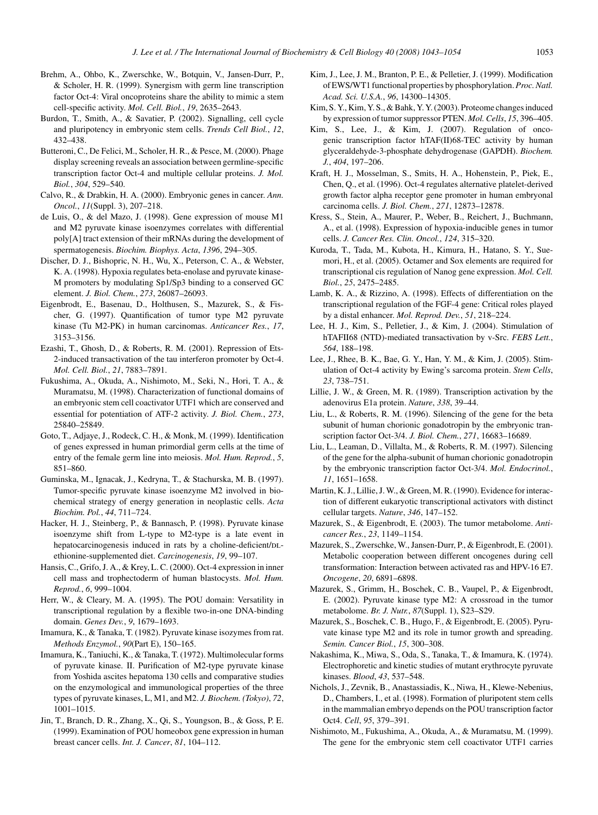- <span id="page-10-0"></span>Brehm, A., Ohbo, K., Zwerschke, W., Botquin, V., Jansen-Durr, P., & Scholer, H. R. (1999). Synergism with germ line transcription factor Oct-4: Viral oncoproteins share the ability to mimic a stem cell-specific activity. *Mol. Cell. Biol.*, *19*, 2635–2643.
- Burdon, T., Smith, A., & Savatier, P. (2002). Signalling, cell cycle and pluripotency in embryonic stem cells. *Trends Cell Biol.*, *12*, 432–438.
- Butteroni, C., De Felici, M., Scholer, H. R., & Pesce, M. (2000). Phage display screening reveals an association between germline-specific transcription factor Oct-4 and multiple cellular proteins. *J. Mol. Biol.*, *304*, 529–540.
- Calvo, R., & Drabkin, H. A. (2000). Embryonic genes in cancer. *Ann. Oncol.*, *11*(Suppl. 3), 207–218.
- de Luis, O., & del Mazo, J. (1998). Gene expression of mouse M1 and M2 pyruvate kinase isoenzymes correlates with differential poly[A] tract extension of their mRNAs during the development of spermatogenesis. *Biochim. Biophys. Acta*, *1396*, 294–305.
- Discher, D. J., Bishopric, N. H., Wu, X., Peterson, C. A., & Webster, K. A. (1998). Hypoxia regulates beta-enolase and pyruvate kinase-M promoters by modulating Sp1/Sp3 binding to a conserved GC element. *J. Biol. Chem.*, *273*, 26087–26093.
- Eigenbrodt, E., Basenau, D., Holthusen, S., Mazurek, S., & Fischer, G. (1997). Quantification of tumor type M2 pyruvate kinase (Tu M2-PK) in human carcinomas. *Anticancer Res.*, *17*, 3153–3156.
- Ezashi, T., Ghosh, D., & Roberts, R. M. (2001). Repression of Ets-2-induced transactivation of the tau interferon promoter by Oct-4. *Mol. Cell. Biol.*, *21*, 7883–7891.
- Fukushima, A., Okuda, A., Nishimoto, M., Seki, N., Hori, T. A., & Muramatsu, M. (1998). Characterization of functional domains of an embryonic stem cell coactivator UTF1 which are conserved and essential for potentiation of ATF-2 activity. *J. Biol. Chem.*, *273*, 25840–25849.
- Goto, T., Adjaye, J., Rodeck, C. H., & Monk, M. (1999). Identification of genes expressed in human primordial germ cells at the time of entry of the female germ line into meiosis. *Mol. Hum. Reprod.*, *5*, 851–860.
- Guminska, M., Ignacak, J., Kedryna, T., & Stachurska, M. B. (1997). Tumor-specific pyruvate kinase isoenzyme M2 involved in biochemical strategy of energy generation in neoplastic cells. *Acta Biochim. Pol.*, *44*, 711–724.
- Hacker, H. J., Steinberg, P., & Bannasch, P. (1998). Pyruvate kinase isoenzyme shift from L-type to M2-type is a late event in hepatocarcinogenesis induced in rats by a choline-deficient/DLethionine-supplemented diet. *Carcinogenesis*, *19*, 99–107.
- Hansis, C., Grifo, J. A., & Krey, L. C. (2000). Oct-4 expression in inner cell mass and trophectoderm of human blastocysts. *Mol. Hum. Reprod.*, *6*, 999–1004.
- Herr, W., & Cleary, M. A. (1995). The POU domain: Versatility in transcriptional regulation by a flexible two-in-one DNA-binding domain. *Genes Dev.*, *9*, 1679–1693.
- Imamura, K., & Tanaka, T. (1982). Pyruvate kinase isozymes from rat. *Methods Enzymol.*, *90*(Part E), 150–165.
- Imamura, K., Taniuchi, K., & Tanaka, T. (1972). Multimolecular forms of pyruvate kinase. II. Purification of M2-type pyruvate kinase from Yoshida ascites hepatoma 130 cells and comparative studies on the enzymological and immunological properties of the three types of pyruvate kinases, L, M1, and M2. *J. Biochem. (Tokyo)*, *72*, 1001–1015.
- Jin, T., Branch, D. R., Zhang, X., Qi, S., Youngson, B., & Goss, P. E. (1999). Examination of POU homeobox gene expression in human breast cancer cells. *Int. J. Cancer*, *81*, 104–112.
- Kim, J., Lee, J. M., Branton, P. E., & Pelletier, J. (1999). Modification of EWS/WT1 functional properties by phosphorylation.*Proc. Natl. Acad. Sci. U.S.A.*, *96*, 14300–14305.
- Kim, S. Y., Kim, Y. S., & Bahk, Y. Y. (2003). Proteome changes induced by expression of tumor suppressor PTEN. *Mol. Cells*, *15*, 396–405.
- Kim, S., Lee, J., & Kim, J. (2007). Regulation of oncogenic transcription factor hTAF(II)68-TEC activity by human glyceraldehyde-3-phosphate dehydrogenase (GAPDH). *Biochem. J.*, *404*, 197–206.
- Kraft, H. J., Mosselman, S., Smits, H. A., Hohenstein, P., Piek, E., Chen, Q., et al. (1996). Oct-4 regulates alternative platelet-derived growth factor alpha receptor gene promoter in human embryonal carcinoma cells. *J. Biol. Chem.*, *271*, 12873–12878.
- Kress, S., Stein, A., Maurer, P., Weber, B., Reichert, J., Buchmann, A., et al. (1998). Expression of hypoxia-inducible genes in tumor cells. *J. Cancer Res. Clin. Oncol.*, *124*, 315–320.
- Kuroda, T., Tada, M., Kubota, H., Kimura, H., Hatano, S. Y., Suemori, H., et al. (2005). Octamer and Sox elements are required for transcriptional cis regulation of Nanog gene expression. *Mol. Cell. Biol.*, *25*, 2475–2485.
- Lamb, K. A., & Rizzino, A. (1998). Effects of differentiation on the transcriptional regulation of the FGF-4 gene: Critical roles played by a distal enhancer. *Mol. Reprod. Dev.*, *51*, 218–224.
- Lee, H. J., Kim, S., Pelletier, J., & Kim, J. (2004). Stimulation of hTAFII68 (NTD)-mediated transactivation by v-Src. *FEBS Lett.*, *564*, 188–198.
- Lee, J., Rhee, B. K., Bae, G. Y., Han, Y. M., & Kim, J. (2005). Stimulation of Oct-4 activity by Ewing's sarcoma protein. *Stem Cells*, *23*, 738–751.
- Lillie, J. W., & Green, M. R. (1989). Transcription activation by the adenovirus E1a protein. *Nature*, *338*, 39–44.
- Liu, L., & Roberts, R. M. (1996). Silencing of the gene for the beta subunit of human chorionic gonadotropin by the embryonic transcription factor Oct-3/4. *J. Biol. Chem.*, *271*, 16683–16689.
- Liu, L., Leaman, D., Villalta, M., & Roberts, R. M. (1997). Silencing of the gene for the alpha-subunit of human chorionic gonadotropin by the embryonic transcription factor Oct-3/4. *Mol. Endocrinol.*, *11*, 1651–1658.
- Martin, K. J., Lillie, J. W., & Green, M. R. (1990). Evidence for interaction of different eukaryotic transcriptional activators with distinct cellular targets. *Nature*, *346*, 147–152.
- Mazurek, S., & Eigenbrodt, E. (2003). The tumor metabolome. *Anticancer Res.*, *23*, 1149–1154.
- Mazurek, S., Zwerschke, W., Jansen-Durr, P., & Eigenbrodt, E. (2001). Metabolic cooperation between different oncogenes during cell transformation: Interaction between activated ras and HPV-16 E7. *Oncogene*, *20*, 6891–6898.
- Mazurek, S., Grimm, H., Boschek, C. B., Vaupel, P., & Eigenbrodt, E. (2002). Pyruvate kinase type M2: A crossroad in the tumor metabolome. *Br. J. Nutr.*, *87*(Suppl. 1), S23–S29.
- Mazurek, S., Boschek, C. B., Hugo, F., & Eigenbrodt, E. (2005). Pyruvate kinase type M2 and its role in tumor growth and spreading. *Semin. Cancer Biol.*, *15*, 300–308.
- Nakashima, K., Miwa, S., Oda, S., Tanaka, T., & Imamura, K. (1974). Electrophoretic and kinetic studies of mutant erythrocyte pyruvate kinases. *Blood*, *43*, 537–548.
- Nichols, J., Zevnik, B., Anastassiadis, K., Niwa, H., Klewe-Nebenius, D., Chambers, I., et al. (1998). Formation of pluripotent stem cells in the mammalian embryo depends on the POU transcription factor Oct4. *Cell*, *95*, 379–391.
- Nishimoto, M., Fukushima, A., Okuda, A., & Muramatsu, M. (1999). The gene for the embryonic stem cell coactivator UTF1 carries